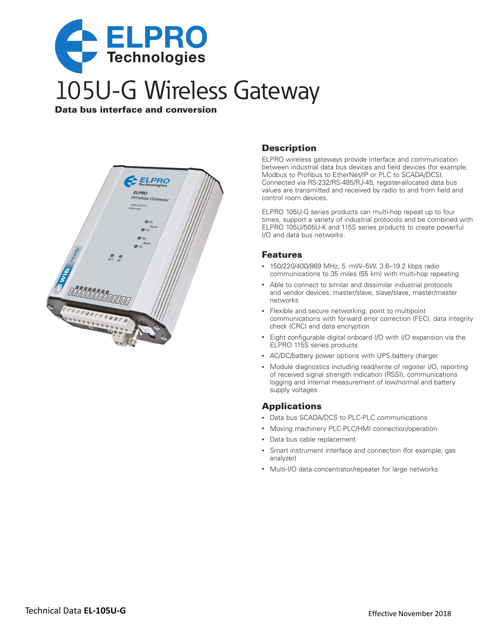

Data bus interface and conversion



## **Description**

ELPRO wireless gateways provide interface and communication between industrial data bus devices and field devices (for example, Modbus to Profibus to EtherNet/IP or PLC to SCADA/DCS). Connected via RS-232/RS-485/RJ-45, register-allocated data bus values are transmitted and received by radio to and from field and control room devices.

ELPRO 105U-G series products can multi-hop repeat up to four times, support a variety of industrial protocols and be combined with ELPRO 105U/505U-K and 115S series products to create powerful I/O and data bus networks.

#### **Features**

- • 150/220/400/869 MHz, 5 mW–5W, 3.6–19.2 kbps radio communications to 35 miles (55 km) with multi-hop repeating
- • Able to connect to similar and dissimilar industrial protocols and vendor devices: master/slave, slave/slave, master/master networks
- Flexible and secure networking, point to multipoint communications with forward error correction (FEC), data integrity check (CRC) and data encryption
- Eight configurable digital onboard I/O with I/O expansion via the ELPRO 115S series products
- • AC/DC/battery power options with UPS battery charger
- Module diagnostics including read/write of register I/O, reporting of received signal strength indication (RSSI), communications logging and internal measurement of low/normal and battery supply voltages

### **Applications**

- Data bus SCADA/DCS to PLC-PLC communications
- Moving machinery PLC-PLC/HMI connection/operation
- • Data bus cable replacement
- Smart instrument interface and connection (for example, gas analyzer)
- Multi-I/O data concentrator/repeater for large networks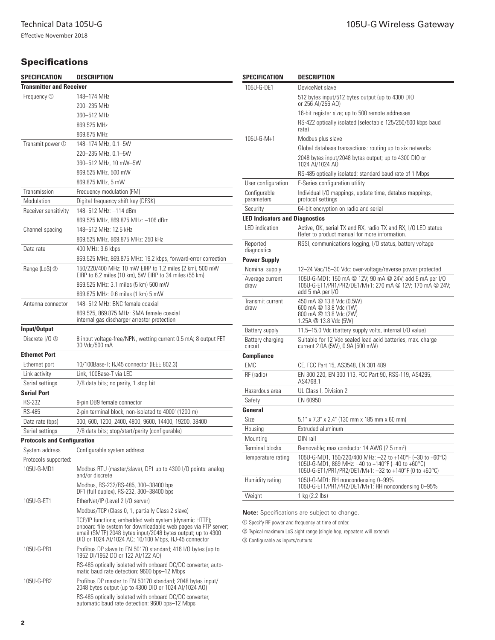Effective November 2018

# **Specifications**

| Specification                      | <b>DESCRIPTION</b>                                                                                                      | Specification                                                                                                               | DESCRIPTION                                                                                                        |  |
|------------------------------------|-------------------------------------------------------------------------------------------------------------------------|-----------------------------------------------------------------------------------------------------------------------------|--------------------------------------------------------------------------------------------------------------------|--|
| <b>Transmitter and Receiver</b>    |                                                                                                                         | 105U-G-DE1                                                                                                                  | DeviceNet slave                                                                                                    |  |
| Frequency <sub>O</sub>             | 148-174 MHz                                                                                                             |                                                                                                                             | 512 bytes input/512 bytes output (up to 4300 DIO                                                                   |  |
|                                    | 200-235 MHz                                                                                                             |                                                                                                                             | or 256 AI/256 AO)                                                                                                  |  |
|                                    | 360-512 MHz                                                                                                             |                                                                                                                             | 16-bit register size; up to 500 remote addresses                                                                   |  |
|                                    | 869.525 MHz                                                                                                             |                                                                                                                             | RS-422 optically isolated (selectable 125/250/500 kbps baud<br>rate)                                               |  |
|                                    | 869.875 MHz                                                                                                             | 105U-G-M+1                                                                                                                  | Modbus plus slave                                                                                                  |  |
| Transmit power 1                   | 148-174 MHz, 0.1-5W                                                                                                     |                                                                                                                             | Global database transactions: routing up to six networks                                                           |  |
|                                    | 220-235 MHz, 0.1-5W                                                                                                     |                                                                                                                             | 2048 bytes input/2048 bytes output; up to 4300 DIO or                                                              |  |
|                                    | 360-512 MHz, 10 mW-5W                                                                                                   |                                                                                                                             | 1024 AI/1024 AO                                                                                                    |  |
|                                    | 869.525 MHz, 500 mW                                                                                                     |                                                                                                                             | RS-485 optically isolated; standard baud rate of 1 Mbps                                                            |  |
|                                    | 869.875 MHz, 5 mW                                                                                                       | User configuration                                                                                                          | E-Series configuration utility                                                                                     |  |
| Transmission                       | Frequency modulation (FM)                                                                                               | Configurable                                                                                                                | Individual I/O mappings, update time, databus mappings,                                                            |  |
| Modulation                         | Digital frequency shift key (DFSK)                                                                                      | parameters                                                                                                                  | protocol settings                                                                                                  |  |
| Receiver sensitivity               | 148-512 MHz: -114 dBm                                                                                                   | Security                                                                                                                    | 64-bit encryption on radio and serial                                                                              |  |
| Channel spacing                    | 869.525 MHz, 869.875 MHz: -106 dBm                                                                                      | <b>LED Indicators and Diagnostics</b>                                                                                       |                                                                                                                    |  |
|                                    | 148-512 MHz: 12.5 kHz                                                                                                   | LED indication                                                                                                              | Active, OK, serial TX and RX, radio TX and RX, I/O LED status<br>Refer to product manual for more information.     |  |
|                                    | 869.525 MHz, 869.875 MHz; 250 kHz                                                                                       | Reported                                                                                                                    | RSSI, communications logging, I/O status, battery voltage                                                          |  |
| Data rate                          | 400 MHz: 3.6 kbps                                                                                                       | diagnostics                                                                                                                 |                                                                                                                    |  |
|                                    | 869.525 MHz, 869.875 MHz: 19.2 kbps, forward-error correction                                                           | <b>Power Supply</b>                                                                                                         |                                                                                                                    |  |
| Range (LoS) 2                      | 150/220/400 MHz: 10 mW EIRP to 1.2 miles (2 km), 500 mW<br>EIRP to 6.2 miles (10 km), 5W EIRP to 34 miles (55 km)       | Nominal supply                                                                                                              | 12-24 Vac/15-30 Vdc: over-voltage/reverse power protected                                                          |  |
|                                    | 869.525 MHz: 3.1 miles (5 km) 500 mW                                                                                    | Average current<br>draw                                                                                                     | 105U-G-MD1: 150 mA @ 12V; 90 mA @ 24V; add 5 mA per I/O<br>105U-G-ET1/PR1/PR2/DE1/M+1: 270 mA @ 12V; 170 mA @ 24V; |  |
|                                    | 869.875 MHz: 0.6 miles (1 km) 5 mW                                                                                      |                                                                                                                             | add 5 mA per I/O                                                                                                   |  |
| Antenna connector                  | 148-512 MHz: BNC female coaxial                                                                                         | Transmit current                                                                                                            | 450 mA @ 13.8 Vdc (0.5W)                                                                                           |  |
|                                    | 869.525, 869.875 MHz: SMA female coaxial                                                                                | draw                                                                                                                        | 600 mA @ 13.8 Vdc (1W)<br>800 mA @ 13.8 Vdc (2W)                                                                   |  |
|                                    | internal gas discharger arrestor protection                                                                             |                                                                                                                             | 1.25A @ 13.8 Vdc (5W)                                                                                              |  |
| Input/Output                       |                                                                                                                         | Battery supply                                                                                                              | 11.5-15.0 Vdc (battery supply volts, internal I/O value)                                                           |  |
| Discrete I/O 3                     | 8 input voltage-free/NPN, wetting current 0.5 mA; 8 output FET                                                          | Battery charging                                                                                                            | Suitable for 12 Vdc sealed lead acid batteries, max. charge                                                        |  |
| <b>Ethernet Port</b>               | 30 Vdc/500 mA                                                                                                           | circuit                                                                                                                     | current 2.0A (5W), 0.9A (500 mW)                                                                                   |  |
|                                    | 10/100Base-T; RJ45 connector (IEEE 802.3)                                                                               | <b>Compliance</b>                                                                                                           |                                                                                                                    |  |
| Ethernet port<br>Link activity     | Link, 100Base-T via LED                                                                                                 | <b>EMC</b>                                                                                                                  | CE, FCC Part 15, AS3548, EN 301 489                                                                                |  |
| Serial settings                    | 7/8 data bits; no parity, 1 stop bit                                                                                    | RF (radio)                                                                                                                  | EN 300 220, EN 300 113, FCC Part 90, RSS-119, AS4295,<br>AS4768.1                                                  |  |
| <b>Serial Port</b>                 |                                                                                                                         | Hazardous area                                                                                                              | UL Class I, Division 2                                                                                             |  |
| <b>RS-232</b>                      | 9-pin DB9 female connector                                                                                              | Safety                                                                                                                      | EN 60950                                                                                                           |  |
| <b>RS-485</b>                      | 2-pin terminal block, non-isolated to 4000' (1200 m)                                                                    | General                                                                                                                     |                                                                                                                    |  |
| Data rate (bps)                    | 300, 600, 1200, 2400, 4800, 9600, 14400, 19200, 38400                                                                   | Size                                                                                                                        | 5.1" x 7.3" x 2.4" (130 mm x 185 mm x 60 mm)                                                                       |  |
| Serial settings                    | 7/8 data bits; stop/start/parity (configurable)                                                                         | Housing                                                                                                                     | Extruded aluminum                                                                                                  |  |
| <b>Protocols and Configuration</b> |                                                                                                                         | Mounting                                                                                                                    | DIN rail                                                                                                           |  |
| System address                     | Configurable system address                                                                                             | <b>Terminal blocks</b>                                                                                                      | Removable; max conductor 14 AWG (2.5 mm <sup>2</sup> )                                                             |  |
| Protocols supported:               |                                                                                                                         | Temperature rating                                                                                                          | 105U-G-MD1, 150/220/400 MHz: -22 to +140°F (-30 to +60°C)                                                          |  |
| 105U-G-MD1                         | Modbus RTU (master/slave), DF1 up to 4300 I/O points: analog                                                            |                                                                                                                             | 105U-G-MD1, 869 MHz: -40 to +140°F (-40 to +60°C)                                                                  |  |
|                                    | and/or discrete                                                                                                         | Humidity rating                                                                                                             | 105U-G-ET1/PR1/PR2/DE1/M+1: $-32$ to +140°F (0 to +60°C)<br>105U-G-MD1: RH noncondensing 0-99%                     |  |
|                                    | Modbus, RS-232/RS-485, 300-38400 bps                                                                                    |                                                                                                                             | 105U-G-ET1/PR1/PR2/DE1/M+1: RH noncondensing 0-95%                                                                 |  |
|                                    | DF1 (full duplex), RS-232, 300-38400 bps                                                                                | Weight                                                                                                                      | 1 kg (2.2 lbs)                                                                                                     |  |
| 105U-G-ET1                         | EtherNet/IP (Level 2 I/O server)                                                                                        |                                                                                                                             |                                                                                                                    |  |
|                                    | Modbus/TCP (Class 0, 1, partially Class 2 slave)                                                                        | <b>Note:</b> Specifications are subject to change.                                                                          |                                                                                                                    |  |
|                                    | TCP/IP functions; embedded web system (dynamic HTTP);<br>onboard file system for downloadable web pages via FTP server; | ① Specify RF power and frequency at time of order.<br>2 Typical maximum LoS sight range (single hop, repeaters will extend) |                                                                                                                    |  |
|                                    | email (SMTP) 2048 bytes input/2048 bytes output; up to 4300                                                             |                                                                                                                             |                                                                                                                    |  |
|                                    | DIO or 1024 AI/1024 AO, 10/100 Mbps, RJ-45 connector                                                                    | <b>3 Configurable as inputs/outputs</b>                                                                                     |                                                                                                                    |  |
| 105U-G-PR1                         | Profibus DP slave to EN 50170 standard; 416 I/O bytes (up to<br>1952 DI/1952 DO or 122 AI/122 AO)                       |                                                                                                                             |                                                                                                                    |  |

RS-485 optically isolated with onboard DC/DC converter, automatic baud rate detection: 9600 bps–12 Mbps

105U-G-PR2 Profibus DP master to EN 50170 standard; 2048 bytes input/ 2048 bytes output (up to 4300 DIO or 1024 AI/1024 AO) RS-485 optically isolated with onboard DC/DC converter,

automatic baud rate detection: 9600 bps–12 Mbps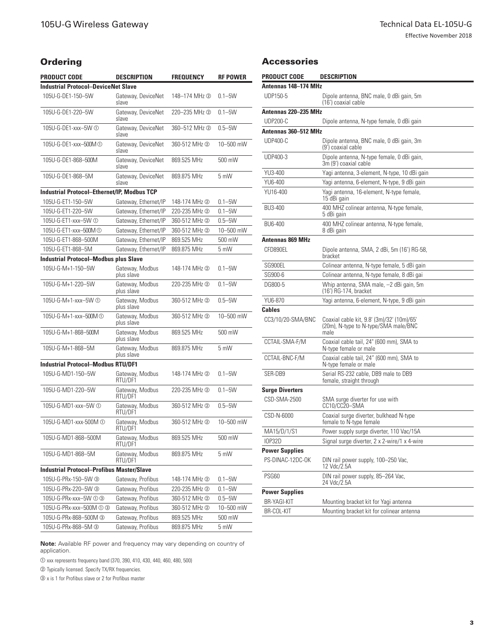# **Ordering**

| <b>PRODUCT CODE</b>                                | DESCRIPTION                   | <b>FREQUENCY</b> | <b>RF POWER</b> |
|----------------------------------------------------|-------------------------------|------------------|-----------------|
| <b>Industrial Protocol-DeviceNet Slave</b>         |                               |                  |                 |
| 105U-G-DE1-150-5W                                  | Gateway, DeviceNet<br>slave   | 148-174 MHz 2    | $0.1 - 5W$      |
| 105U-G-DF1-220-5W                                  | Gateway, DeviceNet<br>slave   | 220-235 MHz 2    | $0.1 - 5W$      |
| 105U-G-DE1-xxx-5W ①                                | Gateway, DeviceNet<br>slave   | 360-512 MHz 2    | $0.5 - 5W$      |
| 105U-G-DE1-xxx-500M (1)                            | Gateway, DeviceNet<br>slave   | 360-512 MHz 2    | 10-500 mW       |
| 105U-G-DE1-868-500M                                | Gateway, DeviceNet<br>slave   | 869.525 MHz      | 500 mW          |
| 105U-G-DE1-868-5M                                  | Gateway, DeviceNet<br>slave   | 869.875 MHz      | 5 mW            |
| <b>Industrial Protocol-Ethernet/IP, Modbus TCP</b> |                               |                  |                 |
| 105U-G-ET1-150-5W                                  | Gateway, Ethernet/IP          | 148-174 MHz ②    | $0.1 - 5W$      |
| 105U-G-ET1-220-5W                                  | Gateway, Ethernet/IP          | 220-235 MHz 2    | $0.1 - 5W$      |
| 105U-G-ET1-xxx-5W ①                                | Gateway, Ethernet/IP          | 360-512 MHz 2    | $0.5 - 5W$      |
| 105U-G-ET1-xxx-500M ①                              | Gateway, Ethernet/IP          | 360-512 MHz 2    | 10-500 mW       |
| 105U-G-ET1-868-500M                                | Gateway, Ethernet/IP          | 869.525 MHz      | 500 mW          |
| 105U-G-ET1-868-5M                                  | Gateway, Ethernet/IP          | 869.875 MHz      | 5 mW            |
| <b>Industrial Protocol-Modbus plus Slave</b>       |                               |                  |                 |
| 105U-G-M+1-150-5W                                  | Gateway, Modbus<br>plus slave | 148-174 MHz 2    | $0.1 - 5W$      |
| 105U-G-M+1-220-5W                                  | Gateway, Modbus<br>plus slave | 220-235 MHz 2    | $0.1 - 5W$      |
| 105U-G-M+1-xxx-5W ①                                | Gateway, Modbus<br>plus slave | 360-512 MHz 2    | $0.5 - 5W$      |
| 105U-G-M+1-xxx-500M ①                              | Gateway, Modbus<br>plus slave | 360-512 MHz 2    | 10-500 mW       |
| 105U-G-M+1-868-500M                                | Gateway, Modbus<br>plus slave | 869.525 MHz      | 500 mW          |
| 105U-G-M+1-868-5M                                  | Gateway, Modbus<br>plus slave | 869.875 MHz      | 5 mW            |
| <b>Industrial Protocol-Modbus RTU/DF1</b>          |                               |                  |                 |
| 105U-G-MD1-150-5W                                  | Gateway, Modbus<br>RTU/DF1    | 148-174 MHz 2    | $0.1 - 5W$      |
| 105U-G-MD1-220-5W                                  | Gateway, Modbus<br>RTU/DF1    | 220-235 MHz 2    | $0.1 - 5W$      |
| 105U-G-MD1-xxx-5W ①                                | Gateway, Modbus<br>RTU/DF1    | 360-512 MHz 2    | $0.5 - 5W$      |
| 105U-G-MD1-xxx-500M ①                              | Gateway, Modbus<br>RTU/DF1    | 360-512 MHz 2    | 10-500 mW       |
| 105U-G-MD1-868-500M                                | Gateway, Modbus<br>RTU/DF1    | 869.525 MHz      | 500 mW          |
| 105U-G-MD1-868-5M                                  | Gateway, Modbus<br>RTU/DF1    | 869.875 MHz      | 5 mW            |
| <b>Industrial Protocol-Profibus Master/Slave</b>   |                               |                  |                 |
| 105U-G-PRx-150-5W 3                                | Gateway, Profibus             | 148-174 MHz ②    | $0.1 - 5W$      |
| 105U-G-PRx-220-5W 3                                | Gateway, Profibus             | 220-235 MHz ②    | $0.1 - 5W$      |
| 105U-G-PRx-xxx-5W ① ③                              | Gateway, Profibus             | 360-512 MHz 2    | $0.5 - 5W$      |
| 105U-G-PRx-xxx-500M ① ③                            | Gateway, Profibus             | 360-512 MHz 2    | 10-500 mW       |
| 105U-G-PRx-868-500M 3                              | Gateway, Profibus             | 869.525 MHz      | 500 mW          |
| 105U-G-PRx-868-5M 3                                | Gateway, Profibus             | 869.875 MHz      | 5 mW            |

#### Accessories

| <b>PRODUCT CODE</b>     | <b>DESCRIPTION</b>                                                                         |
|-------------------------|--------------------------------------------------------------------------------------------|
| Antennas 148-174 MHz    |                                                                                            |
| UDP150-5                | Dipole antenna, BNC male, 0 dBi gain, 5m<br>(16') coaxial cable                            |
| Antennas 220–235 MHz    |                                                                                            |
| <b>UDP200-C</b>         | Dipole antenna, N-type female, 0 dBi gain                                                  |
| Antennas 360–512 MHz    |                                                                                            |
| <b>UDP400-C</b>         | Dipole antenna, BNC male, 0 dBi gain, 3m<br>(9') coaxial cable                             |
| UDP400-3                | Dipole antenna, N-type female, 0 dBi gain,<br>3m (9') coaxial cable                        |
| YU3-400                 | Yagi antenna, 3-element, N-type, 10 dBi gain                                               |
| YU6-400                 | Yagi antenna, 6-element, N-type, 9 dBi gain                                                |
| YU16-400                | Yagi antenna, 16-element, N-type female,<br>15 dBi gain                                    |
| BU3-400                 | 400 MHZ colinear antenna, N-type female,<br>5 dBi gain                                     |
| BU6-400                 | 400 MHZ colinear antenna, N-type female,<br>8 dBi gain                                     |
| <b>Antennas 869 MHz</b> |                                                                                            |
| CFD890EL                | Dipole antenna, SMA, 2 dBi, 5m (16') RG-58,<br>bracket                                     |
| SG900EL                 | Colinear antenna, N-type female, 5 dBi gain                                                |
| SG900-6                 | Colinear antenna, N-type female, 8 dBi gai                                                 |
| DG800-5                 | Whip antenna, SMA male, -2 dBi gain, 5m<br>(16') RG-174, bracket                           |
| YU6-870                 | Yagi antenna, 6-element, N-type, 9 dBi gain                                                |
| <b>Cables</b>           |                                                                                            |
| CC3/10/20-SMA/BNC       | Coaxial cable kit, 9.8' (3m)/32' (10m)/65'<br>(20m), N-type to N-type/SMA male/BNC<br>male |
| CCTAIL-SMA-F/M          | Coaxial cable tail, 24" (600 mm), SMA to<br>N-type female or male                          |
| CCTAIL-BNC-F/M          | Coaxial cable tail, 24" (600 mm), SMA to<br>N-type female or male                          |
| SER-DB9                 | Serial RS-232 cable, DB9 male to DB9<br>female, straight through                           |
| <b>Surge Diverters</b>  |                                                                                            |
| CSD-SMA-2500            | SMA surge diverter for use with<br>CC10/CC20-SMA                                           |
| CSD-N-6000              | Coaxial surge diverter, bulkhead N-type<br>female to N-type female                         |
| MA15/D/1/S1             | Power supply surge diverter, 110 Vac/15A                                                   |
| <b>IOP32D</b>           | Signal surge diverter, 2 x 2-wire/1 x 4-wire                                               |
| <b>Power Supplies</b>   |                                                                                            |
| PS-DINAC-12DC-OK        | DIN rail power supply, 100-250 Vac,<br>12 Vdc/2.5A                                         |
| PSG60                   | DIN rail power supply, 85-264 Vac,<br>24 Vdc/2.5A                                          |
| <b>Power Supplies</b>   |                                                                                            |
| <b>BR-YAGI-KIT</b>      | Mounting bracket kit for Yagi antenna                                                      |
| BR-COL-KIT              | Mounting bracket kit for colinear antenna                                                  |

**Note:** Available RF power and frequency may vary depending on country of application.

a xxx represents frequency band (370, 390, 410, 430, 440, 460, 480, 500)

 $\oslash$  Typically licensed. Specify TX/RX frequencies.

 $\circledcirc$  x is 1 for Profibus slave or 2 for Profibus master